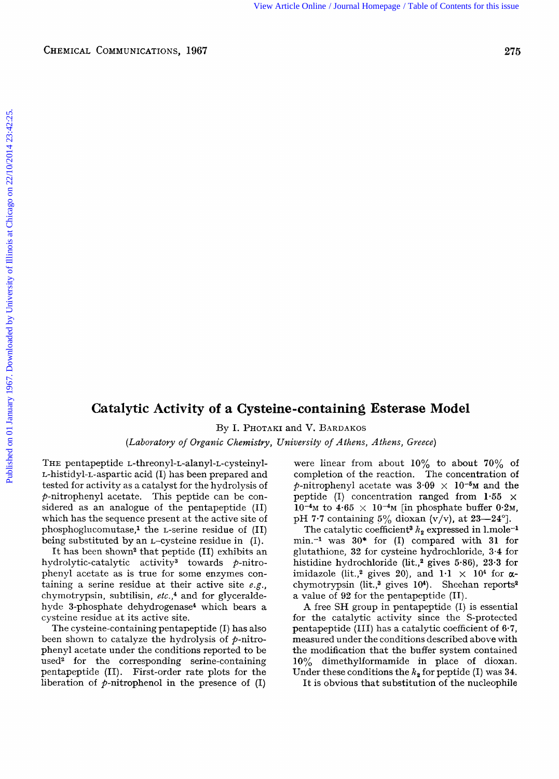## **Catalytic Activity of a Cysteine-containing Esterase Model**

By I. PHOTAKI and V. BARDAKOS

*(Laboratory of Organic Chemistry, University of Athens, Athens, Gveece)* 

THE pentapeptide **L-threonyl-L-alanyl-L-cysteinyl-**L-histidyl-L-aspartic acid (I) has been prepared and tested for activity as a catalyst for the hydrolysis of  $p$ -nitrophenyl acetate. This peptide can be considered as an analogue of the pentapeptide (11) which has the sequence present at the active site of phosphoglucomutase,<sup>1</sup> the *L*-serine residue of  $(II)$ being substituted by an L-cysteine residue in (I).

It has been shown<sup>2</sup> that peptide (II) exhibits an hydrolytic-catalytic activity<sup>3</sup> towards  $p$ -nitrophenyl acetate as is true for some enzymes containing a serine residue at their active site **e.g.,**  chymotrypsin, subtilisin, etc.,<sup>4</sup> and for glyceraldehyde 3-phosphate dehydrogenase<sup>4</sup> which bears a cysteine residue at its active site.

The cysteine-containing pentapeptide (I) has also been shown to catalyze the hydrolysis of  $p$ -nitrophenyl acetate under the conditions reported to be used<sup>2</sup> for the corresponding serine-containing pentapeptide (11). First-order rate plots for the liberation of  $p$ -nitrophenol in the presence of  $(I)$ 

were linear from about **10%** to about **70%** of completion of the reaction. The concentration of  $\phi$ -nitrophenyl acetate was  $3.09 \times 10^{-5}$ M and the peptide (I) concentration ranged from **1.55** x  $10^{-4}$ <sup>M</sup> to  $4.65 \times 10^{-4}$ <sup>M</sup> [in phosphate buffer 0.2<sup>M</sup>, pH **7.7** containing *5%* dioxan (v/v), at 23-24']. Published On 01 January 1967.<br> **CHEMICAL COMMUNICATIONS, 1967.**<br> **CATALITY 1971.**<br>
The property of Illinois and V. BANDANDS.<br>
The period of *Decomming Contents for this issues* (*Labloratory of Organic Chemistry, Universit* 

> The catalytic coefficient<sup>3</sup>  $k_2$  expressed in 1.mole<sup>-1</sup> min.-l was 30\* for (I) compared with 31 for glutathione, 32 for cysteine hydrochloride, 3.4 for histidine hydrochloride (lit.,2 gives 5-86), **23.3** for imidazole (lit.,<sup>2</sup> gives 20), and  $1 \cdot 1 \times 10^4$  for  $\alpha$ chymotrypsin (lit.,<sup>3</sup> gives 10<sup>4</sup>). Sheehan reports<sup>2</sup> a value of **92** for the pentapeptide **(11).**

> **A** free SH group in pentapeptide (I) is essential for the catalytic activity since the S-protected pentapeptide (111) has a catalytic coefficient of **6.7,**  measured under the conditions described above with the modification that the buffer system contained 10% dimethylformamide in place of dioxan. Under these conditions the  $k_2$  for peptide (I) was 34.

It is obvious that substitution of the nucleophile